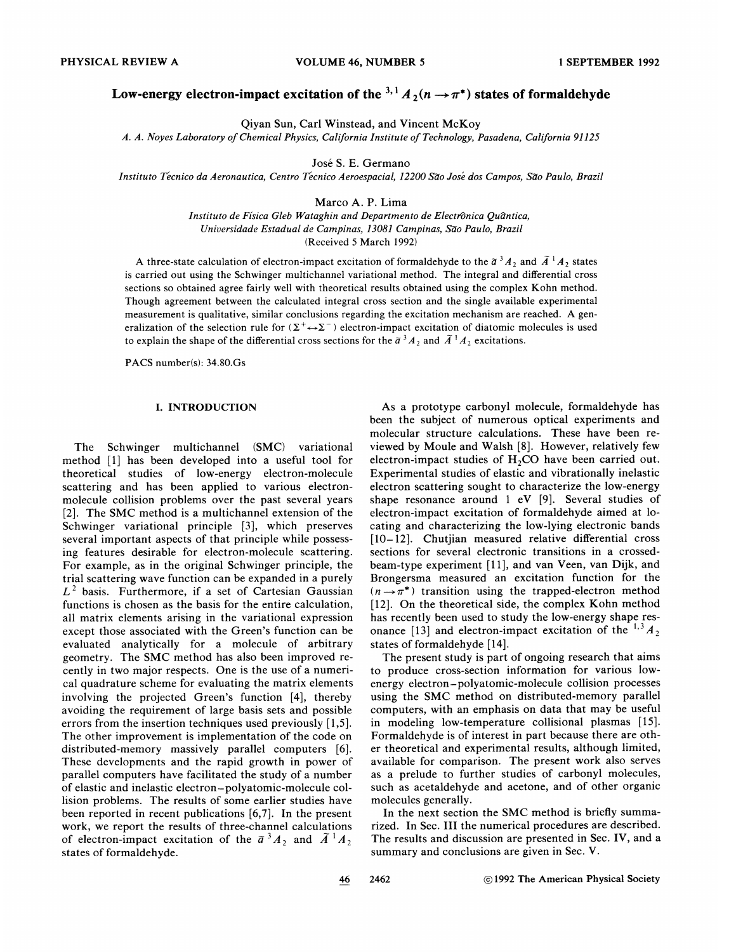# Low-energy electron-impact excitation of the  $3,1 \text{ A}_2(n \rightarrow \pi^*)$  states of formaldehyde

Qiyan Sun, Carl Winstead, and Vincent McKoy

A. A. Noyes Laboratory of Chemical Physics, California Institute of Technology, Pasadena, California 91125

José S. E. Germano

Instituto Tecnico da Aeronautica, Centro Tecnico Aeroespacial, 12200 Sao Jose dos Campos, Sao Paulo, Brazil

Marco A. P. Lima

Instituto de Física Gleb Wataghin and Departmento de Electrônica Quântica, Universidade Estadual de Campinas, 13081 Campinas, São Paulo, Brazil (Received 5 March 1992)

A three-state calculation of electron-impact excitation of formaldehyde to the  $\tilde{a}^3A_2$  and  $\tilde{A}^1A_2$  states is carried out using the Schwinger multichannel variational method. The integral and differential cross sections so obtained agree fairly well with theoretical results obtained using the complex Kohn method. Though agreement between the calculated integral cross section and the single available experimental measurement is qualitative, similar conclusions regarding the excitation mechanism are reached. A generalization of the selection rule for  $(\Sigma^+ \leftrightarrow \Sigma^-)$  electron-impact excitation of diatomic molecules is used to explain the shape of the differential cross sections for the  $\tilde{a}^3A_2$  and  $\tilde{A}^1A_2$  excitations.

PACS number(s): 34.80.Gs

#### I. INTRODUCTION

The Schwinger multichannel (SMC) variational method [1] has been developed into a useful tool for theoretical studies of low-energy electron-molecule scattering and has been applied to various electronmolecule collision problems over the past several years [2]. The SMC method is a multichannel extension of the Schwinger variational principle [3], which preserves several important aspects of that principle while possessing features desirable for electron-molecule scattering. For example, as in the original Schwinger principle, the trial scattering wave function can be expanded in a purely  $L<sup>2</sup>$  basis. Furthermore, if a set of Cartesian Gaussian functions is chosen as the basis for the entire calculation, all matrix elements arising in the variational expression except those associated with the Green's function can be evaluated analytically for a molecule of arbitrary geometry. The SMC method has also been improved recently in two major respects. One is the use of a numerical quadrature scheme for evaluating the matrix elements involving the projected Green's function [4], thereby avoiding the requirement of large basis sets and possible errors from the insertion techniques used previously [1,5]. The other improvement is implementation of the code on distributed-memory massively parallel computers [6]. These developments and the rapid growth in power of parallel computers have facilitated the study of a number of elastic and inelastic electron —polyatomic-molecule collision problems. The results of some earlier studies have been reported in recent publications [6,7]. In the present work, we report the results of three-channel calculations of electron-impact excitation of the  $\tilde{a}^{3}A_{2}$  and  $\tilde{A}^{1}A_{2}$ states of formaldehyde.

As a prototype carbonyl molecule, formaldehyde has been the subject of numerous optical experiments and molecular structure calculations. These have been reviewed by Moule and Walsh [8]. However, relatively few electron-impact studies of  $H_2CO$  have been carried out. Experimental studies of elastic and vibrationally inelastic electron scattering sought to characterize the low-energy shape resonance around <sup>1</sup> eV [9]. Several studies of electron-impact excitation of formaldehyde aimed at locating and characterizing the low-lying electronic bands  $[10-12]$ . Chutjian measured relative differential cross sections for several electronic transitions in a crossedbeam-type experiment [11], and van Veen, van Dijk, and Brongersma measured an excitation function for the  $(n \rightarrow \pi^*)$  transition using the trapped-electron method [12]. On the theoretical side, the complex Kohn method has recently been used to study the low-energy shape res-'onance [13] and electron-impact excitation of the  $^{1,3}A_2$ states of formaldehyde [14].

The present study is part of ongoing research that aims to produce cross-section information for various lowenergy electron —polyatomic-molecule collision processes using the SMC method on distributed-memory parallel computers, with an emphasis on data that may be useful in modeling low-temperature collisional plasmas [15]. Formaldehyde is of interest in part because there are other theoretical and experimental results, although limited, available for comparison. The present work also serves as a prelude to further studies of carbonyl molecules, such as acetaldehyde and acetone, and of other organic molecules generally.

In the next section the SMC method is briefly summarized. In Sec. III the numerical procedures are described. The results and discussion are presented in Sec. IV, and a summary and conclusions are given in Sec. V.

46

2462 **1992 The American Physical Society**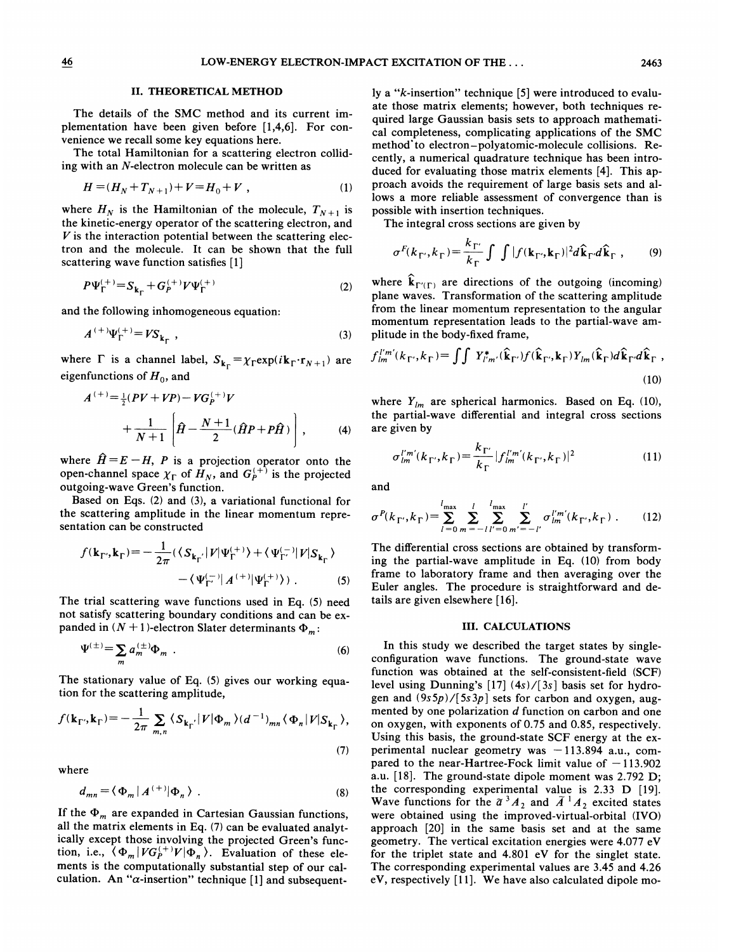#### II. THEORETICAL METHOD

The details of the SMC method and its current implementation have been given before [1,4,6]. For convenience we recall some key equations here.

The total Hamiltonian for a scattering electron colliding with an X-electron molecule can be written as

$$
H = (H_N + T_{N+1}) + V = H_0 + V \t\t(1)
$$

where  $H_N$  is the Hamiltonian of the molecule,  $T_{N+1}$  is the kinetic-energy operator of the scattering electron, and  $V$  is the interaction potential between the scattering electron and the molecule. It can be shown that the full scattering wave function satisfies [1]

$$
P\Psi_{\Gamma}^{(+)} = S_{\mathbf{k}_{\Gamma}} + G_{P}^{(+)}V\Psi_{\Gamma}^{(+)}
$$
 (2)

and the following inhomogeneous equation:

$$
A^{(+)}\Psi_{\Gamma}^{(+)} = VS_{k_{\Gamma}} ,
$$
 (3)

where  $\Gamma$  is a channel label,  $S_{k_{\Gamma}} = \chi_{\Gamma} \exp(i k_{\Gamma} \cdot r_{N+1})$  are eigenfunctions of  $H_0$ , and

$$
A^{(+)} = \frac{1}{2}(PV + VP) - VG_P^{(+)}V + \frac{1}{N+1}\left[\hat{H} - \frac{N+1}{2}(\hat{H}P + P\hat{H})\right],
$$
 (4)

where  $\hat{H} = E - H$ , P is a projection operator onto the open-channel space  $\chi_{\Gamma}$  of  $H_N$ , and  $G_P^{(+)}$  is the projected outgoing-wave Green's function.

Based on Eqs. (2) and (3), a variational functional for the scattering amplitude in the linear momentum representation can be constructed

$$
f(\mathbf{k}_{\Gamma'}, \mathbf{k}_{\Gamma}) = -\frac{1}{2\pi} (\langle S_{\mathbf{k}_{\Gamma'}} | V | \Psi_{\Gamma}^{(+)} \rangle + \langle \Psi_{\Gamma'}^{(-)} | V | S_{\mathbf{k}_{\Gamma}} \rangle - \langle \Psi_{\Gamma'}^{(-)} | A^{(+)} | \Psi_{\Gamma}^{(+)} \rangle ). \tag{5}
$$

The trial scattering wave functions used in Eq. (5) need not satisfy scattering boundary conditions and can be expanded in  $(N + 1)$ -electron Slater determinants  $\Phi_m$ :

$$
\Psi^{(\pm)} = \sum_{m} a_m^{(\pm)} \Phi_m \quad . \tag{6}
$$

The stationary value of Eq. (5) gives our working equation for the scattering amplitude,

$$
f(\mathbf{k}_{\Gamma'}, \mathbf{k}_{\Gamma}) = -\frac{1}{2\pi} \sum_{m,n} \langle S_{\mathbf{k}_{\Gamma'}} | V | \Phi_m \rangle (d^{-1})_{mn} \langle \Phi_n | V | S_{\mathbf{k}_{\Gamma}} \rangle,
$$
\n(7)

where

$$
d_{mn} = \langle \Phi_m | A^{(+)} | \Phi_n \rangle \tag{8}
$$

If the  $\Phi_m$  are expanded in Cartesian Gaussian functions, all the matrix elements in Eq. (7) can be evaluated analytically except those involving the projected Green's function, i.e.,  $\langle \Phi_m | V G_P^{(+)} V | \Phi_n \rangle$ . Evaluation of these elements is the computationally substantial step of our calculation. An " $\alpha$ -insertion" technique [1] and subsequently a "k-insertion" technique [5] were introduced to evaluate those matrix elements; however, both techniques required large Gaussian basis sets to approach mathematical completeness, complicating applications of the SMC method to electron-polyatomic-molecule collisions. Recently, a numerical quadrature technique has been introduced for evaluating those matrix elements [4]. This approach avoids the requirement of large basis sets and allows a more reliable assessment of convergence than is possible with insertion techniques.

The integral cross sections are given by

$$
\sigma^F(k_{\Gamma'}, k_{\Gamma}) = \frac{k_{\Gamma'}}{k_{\Gamma}} \int \int |f(\mathbf{k}_{\Gamma'}, \mathbf{k}_{\Gamma})|^2 d\hat{\mathbf{k}}_{\Gamma'} d\hat{\mathbf{k}}_{\Gamma} , \qquad (9)
$$

where  $\hat{\mathbf{k}}_{\Gamma'(\Gamma)}$  are directions of the outgoing (incoming) plane waves. Transformation of the scattering amplitude from the linear momentum representation to the angular momentum representation leads to the partial-wave amplitude in the body-fixed frame,

$$
f_{lm}^{l'm'}(k_{\Gamma'},k_{\Gamma}) = \iint Y_{l'm'}^*(\hat{\mathbf{k}}_{\Gamma'})f(\hat{\mathbf{k}}_{\Gamma',\mathbf{k}_{\Gamma}})Y_{lm}(\hat{\mathbf{k}}_{\Gamma})d\hat{\mathbf{k}}_{\Gamma'}d\hat{\mathbf{k}}_{\Gamma} \tag{10}
$$

where  $Y_{lm}$  are spherical harmonics. Based on Eq. (10), the partial-wave differential and integral cross sections are given by

$$
\sigma_{lm}^{l'm'}(k_{\Gamma'},k_{\Gamma}) = \frac{k_{\Gamma'}}{k_{\Gamma}} |f_{lm}^{l'm'}(k_{\Gamma'},k_{\Gamma})|^2
$$
 (11)

and

$$
\sigma^{P}(k_{\Gamma'}, k_{\Gamma}) = \sum_{l=0}^{l_{\max}} \sum_{m=-l}^{l} \sum_{l'=0}^{l_{\max}} \sum_{m'=-l'}^{l'} \sigma_{lm}^{l'm'}(k_{\Gamma'}, k_{\Gamma}) . \tag{12}
$$

The differential cross sections are obtained by transforming the partial-wave amplitude in Eq. (10) from body frame to laboratory frame and then averaging over the Euler angles. The procedure is straightforward and details are given elsewhere [16].

## III. CALCULATIONS

In this study we described the target states by singleconfiguration wave functions. The ground-state wave function was obtained at the self-consistent-field (SCF) level using Dunning's [17] (4s)/[3s] basis set for hydrogen and  $(9s5p)/[5s3p]$  sets for carbon and oxygen, augmented by one polarization d function on carbon and one on oxygen, with exponents of 0.75 and 0.85, respectively. Using this basis, the ground-state SCF energy at the experimental nuclear geometry was —113.<sup>894</sup> a.u., compared to the near-Hartree-Fock limit value of  $-113.902$ a.u. [18]. The ground-state dipole moment was 2.792 D; the corresponding experimental value is 2.33 D [19]. Wave functions for the  $\tilde{a}^{3}A_{2}$  and  $\tilde{A}^{1}A_{2}$  excited states were obtained using the improved-virtual-orbital (IVO) approach [20] in the same basis set and at the same geometry. The vertical excitation energies were 4.077 eV for the triplet state and 4.801 eV for the singlet state. The corresponding experimental values are 3.45 and 4.26 eV, respectively [11]. We have also calculated dipole mo-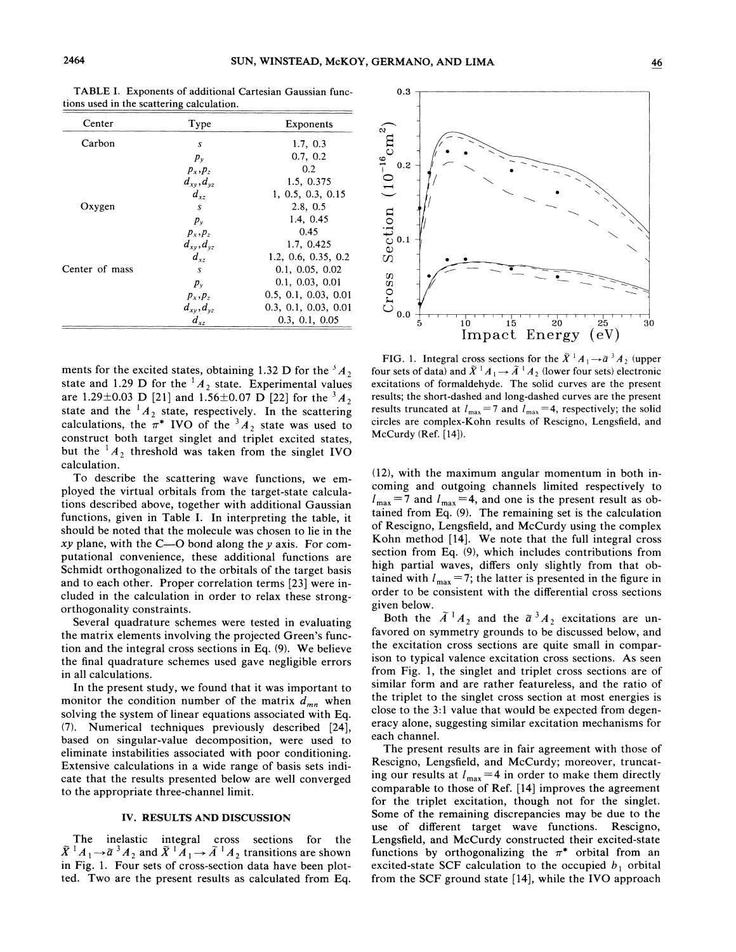| Center         | Type                | Exponents            |
|----------------|---------------------|----------------------|
| Carbon         | S                   | 1.7, 0.3             |
|                | $p_{v}$             | 0.7, 0.2             |
|                | $p_x, p_z$          | 0.2                  |
|                | $d_{xy}$ , $d_{yz}$ | 1.5, 0.375           |
|                | $d_{xz}$            | 1, 0.5, 0.3, 0.15    |
| Oxygen         | S                   | 2.8, 0.5             |
|                | $p_v$               | 1.4, 0.45            |
|                | $p_x, p_z$          | 0.45                 |
|                | $d_{xy}, d_{yz}$    | 1.7, 0.425           |
|                | $d_{xz}$            | 1.2, 0.6, 0.35, 0.2  |
| Center of mass | $\boldsymbol{S}$    | 0.1, 0.05, 0.02      |
|                | $p_{v}$             | 0.1, 0.03, 0.01      |
|                | $p_x, p_z$          | 0.5, 0.1, 0.03, 0.01 |
|                | $d_{xy}, d_{yz}$    | 0.3, 0.1, 0.03, 0.01 |
|                | $d_{xz}$            | 0.3, 0.1, 0.05       |

TABLE I. Exponents of additional Cartesian Gaussian functions used in the scattering calculation.

ments for the excited states, obtaining 1.32 D for the  ${}^3A_2$ state and 1.29 D for the  ${}^{1}A_2$  state. Experimental values are 1.29±0.03 D [21] and 1.56±0.07 D [22] for the  ${}^{3}A_2$ state and the  ${}^{1}A_2$  state, respectively. In the scattering calculations, the  $\pi^*$  IVO of the  ${}^3A_2$  state was used to construct both target singlet and triplet excited states, but the  ${}^{1}A_2$  threshold was taken from the singlet IVO calculation.

To describe the scattering wave functions, we employed the virtual orbitals from the target-state calculations described above, together with additional Gaussian functions, given in Table I. In interpreting the table, it should be noted that the molecule was chosen to lie in the *xy* plane, with the  $C$ —O bond along the  $y$  axis. For computational convenience, these additional functions are Schmidt orthogonalized to the orbitals of the target basis and to each other. Proper correlation terms [23] were included in the calculation in order to relax these strongorthogonality constraints.

Several quadrature schemes were tested in evaluating the matrix elements involving the projected Green's function and the integral cross sections in Eq. (9). We believe the final quadrature schemes used gave negligible errors in all calculations.

In the present study, we found that it was important to monitor the condition number of the matrix  $d_{mn}$  when solving the system of linear equations associated with Eq. (7). Numerical techniques previously described [24], based on singular-value decomposition, were used to eliminate instabilities associated with poor conditioning. Extensive calculations in a wide range of basis sets indicate that the results presented below are well converged to the appropriate three-channel limit.

## IV. RESULTS AND DISCUSSION

The inelastic integral cross sections for the<br> $\tilde{X}^{\perp}A_1 \rightarrow \tilde{a}^3A_2$  and  $\tilde{X}^{\perp}A_1 \rightarrow \tilde{A}^{\perp}A_2$  transitions are shown in Fig. 1. Four sets of cross-section data have been plotted. Two are the present results as calculated from Eq.



FIG. 1. Integral cross sections for the  $\tilde{X}^1 A_1 \rightarrow \tilde{a}^3 A_2$  (upper four sets of data) and  $\tilde{X}$ <sup>1</sup> $A_1 \rightarrow \tilde{A}$ <sup>1</sup> $A_2$  (lower four sets) electronic excitations of formaldehyde. The solid curves are the present results; the short-dashed and long-dashed curves are the present results truncated at  $l_{\text{max}} = 7$  and  $l_{\text{max}} = 4$ , respectively; the solid circles are complex-Kohn results of Rescigno, Lengsfield, and McCurdy (Ref. [14]).

(12), with the maximum angular momentum in both incoming and outgoing channels limited respectively to  $l_{\text{max}} = 7$  and  $l_{\text{max}} = 4$ , and one is the present result as obtained from Eq.  $(9)$ . The remaining set is the calculation of Rescigno, Lengsfield, and McCurdy using the complex Kohn method [14]. We note that the full integral cross section from Eq. (9), which includes contributions from high partial waves, differs only slightly from that obtained with  $l_{\text{max}} = 7$ ; the latter is presented in the figure in order to be consistent with the differential cross sections given below.

Both the  $\tilde{A}^1 A_2$  and the  $\tilde{a}^3 A_2$  excitations are unfavored on symmetry grounds to be discussed below, and the excitation cross sections are quite small in comparison to typical valence excitation cross sections. As seen from Fig. 1, the singlet and triplet cross sections are of similar form and are rather featureless, and the ratio of the triplet to the singlet cross section at most energies is close to the 3:1 value that would be expected from degeneracy alone, suggesting similar excitation mechanisms for each channel.

The present results are in fair agreement with those of Rescigno, Lengsfield, and McCurdy; moreover, truncating our results at  $l_{\text{max}} = 4$  in order to make them directly comparable to those of Ref. [14] improves the agreement for the triplet excitation, though not for the singlet. Some of the remaining discrepancies may be due to the use of different target wave functions. Rescigno, Lengsfield, and McCurdy constructed their excited-state functions by orthogonalizing the  $\pi^*$  orbital from an excited-state SCF calculation to the occupied  $b_1$  orbital from the SCF ground state [14], while the IVO approach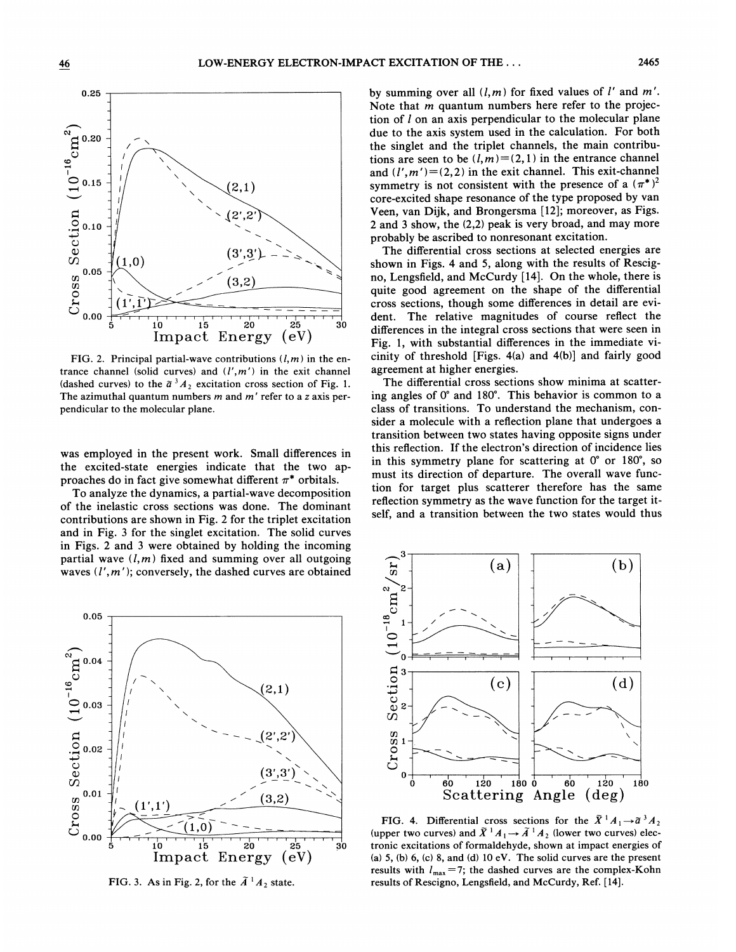

FIG. 2. Principal partial-wave contributions  $(l, m)$  in the entrance channel (solid curves) and  $(l',m')$  in the exit channel (dashed curves) to the  $\tilde{a}^{3}A_{2}$  excitation cross section of Fig. 1. The azimuthal quantum numbers  $m$  and  $m'$  refer to a z axis perpendicular to the molecular plane.

was employed in the present work. Small differences in the excited-state energies indicate that the two approaches do in fact give somewhat different  $\pi^*$  orbitals.

To analyze the dynamics, a partial-wave decomposition of the inelastic cross sections was done. The dominant contributions are shown in Fig. 2 for the triplet excitation and in Fig. 3 for the singlet excitation. The solid curves in Figs. 2 and 3 were obtained by holding the incoming partial wave  $(l,m)$  fixed and summing over all outgoing partial wave  $(1, m)$  fixed and summing over an outgoing  $(a)$   $(a)$   $(a)$   $(b)$ 



FIG. 3. As in Fig. 2, for the  $\tilde{A}$ <sup>1</sup> $A_2$  state.

by summing over all  $(l,m)$  for fixed values of  $l'$  and  $m'$ . Note that *m* quantum numbers here refer to the projection of  $l$  on an axis perpendicular to the molecular plane due to the axis system used in the calculation. For both the singlet and the triplet channels, the main contributions are seen to be  $(l,m)=(2,1)$  in the entrance channel and  $(l', m') = (2, 2)$  in the exit channel. This exit-channel symmetry is not consistent with the presence of a  $(\pi^*)^2$ core-excited shape resonance of the type proposed by van Veen, van Dijk, and Brongersma [12]; moreover, as Figs. 2 and 3 show, the (2,2) peak is very broad, and may more probably be ascribed to nonresonant excitation.

The differential cross sections at selected energies are shown in Figs. 4 and 5, along with the results of Rescigno, Lengsfield, and McCurdy [14]. On the whole, there is quite good agreement on the shape of the differential cross sections, though some differences in detail are evident. The relative magnitudes of course reflect the differences in the integral cross sections that were seen in Fig. 1, with substantial differences in the immediate vicinity of threshold [Figs. 4(a) and 4(b)] and fairly good agreement at higher energies.

The differential cross sections show minima at scattering angles of 0' and 180'. This behavior is common to a class of transitions. To understand the mechanism, consider a molecule with a reflection plane that undergoes a transition between two states having opposite signs under this reflection. If the electron's direction of incidence lies in this symmetry plane for scattering at 0' or 180', so must its direction of departure. The overall wave function for target plus scatterer therefore has the same reflection symmetry as the wave function for the target itself, and a transition between the two states would thus



FIG. 4. Differential cross sections for the  $\tilde{X}^1A_1 \rightarrow \tilde{a}^3A_2$ FIG. 4. Differential cross sections for the  $X : A_1 \rightarrow a^* A_2$ <br>(upper two curves) and  $\tilde{X}^1 A_1 \rightarrow \tilde{A}^1 A_2$  (lower two curves) electronic excitations of formaldehyde, shown at impact energies of (a)  $5$ , (b)  $6$ , (c)  $8$ , and (d)  $10$   $eV$ . The solid curves are the present results with  $l_{\text{max}}=7$ ; the dashed curves are the complex-Kohn results of Rescigno, Lengsfield, and McCurdy, Ref. [14].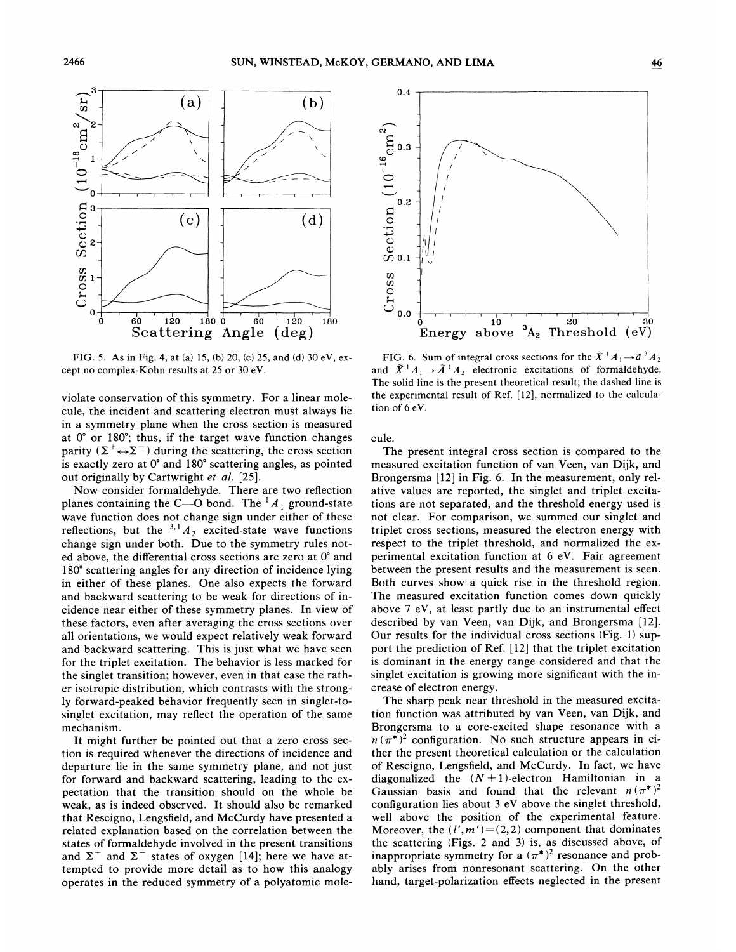

FIG. 5. As in Fig. 4, at (a) 15, (b) 20, (c) 25, and (d) 30 eV, except no complex-Kohn results at 25 or 30 eV.

violate conservation of this symmetry. For a linear molecule, the incident and scattering electron must always lie in a symmetry plane when the cross section is measured at 0' or 180'; thus, if the target wave function changes parity  $(\Sigma^+ \leftrightarrow \Sigma^-)$  during the scattering, the cross section is exactly zero at 0' and 180' scattering angles, as pointed out originally by Cartwright et al. [25].

Now consider formaldehyde. There are two reflection planes containing the C—O bond. The  $^1A_1$  ground-state wave function does not change sign under either of these reflections, but the  $3.1_{A_2}$  excited-state wave function change sign under both. Due to the symmetry rules noted above, the differential cross sections are zero at 0' and 180' scattering angles for any direction of incidence lying in either of these planes. One also expects the forward and backward scattering to be weak for directions of incidence near either of these symmetry planes. In view of these factors, even after averaging the cross sections over all orientations, we would expect relatively weak forward and backward scattering. This is just what we have seen for the triplet excitation. The behavior is less marked for the singlet transition; however, even in that case the rather isotropic distribution, which contrasts with the strongly forward-peaked behavior frequently seen in singlet-tosinglet excitation, may reflect the operation of the same mechanism.

It might further be pointed out that a zero cross section is required whenever the directions of incidence and departure lie in the same symmetry plane, and not just for forward and backward scattering, leading to the expectation that the transition should on the whole be weak, as is indeed observed. It should also be remarked that Rescigno, Lengsfield, and McCurdy have presented a related explanation based on the correlation between the states of formaldehyde involved in the present transitions and  $\Sigma^+$  and  $\Sigma^-$  states of oxygen [14]; here we have attempted to provide more detail as to how this analogy operates in the reduced symmetry of a polyatomic mole-



FIG. 6. Sum of integral cross sections for the  $\tilde{X}$ <sup>1</sup> $A_1 \rightarrow \tilde{a}$ <sup>3</sup> $A_2$ **FIG.** 6. Sum of integral cross sections for the  $X \nvert A_1 \rightarrow a^* A_2$ <br>and  $\tilde{X}^\dagger A_1 \rightarrow \tilde{A}^\dagger A_2$  electronic excitations of formaldehyd The solid line is the present theoretical result; the dashed line is the experimental result of Ref. [12], normalized to the calculation of 6 eV.

cule.

The present integral cross section is compared to the measured excitation function of van Veen, van Dijk, and Brongersma [12] in Fig. 6. In the measurement, only relative values are reported, the singlet and triplet excitations are not separated, and the threshold energy used is not clear. For comparison, we summed our singlet and triplet cross sections, measured the electron energy with respect to the triplet threshold, and normalized the experimental excitation function at 6 eV. Fair agreement between the present results and the measurement is seen. Both curves show a quick rise in the threshold region. The measured excitation function comes down quickly above 7 eV, at least partly due to an instrumental effect described by van Veen, van Dijk, and Brongersma [12]. Our results for the individual cross sections (Fig. 1) support the prediction of Ref. [12] that the triplet excitation is dominant in the energy range considered and that the singlet excitation is growing more significant with the increase of electron energy.

The sharp peak near threshold in the measured excitation function was attributed by van Veen, van Dijk, and Brongersma to a core-excited shape resonance with a  $n(\pi^*)^2$  configuration. No such structure appears in either the present theoretical calculation or the calculation of Rescigno, Lengsfield, and McCurdy. In fact, we have diagonalized the  $(N + 1)$ -electron Hamiltonian in a Gaussian basis and found that the relevant  $n (\pi^*)^2$ configuration lies about 3 eV above the singlet threshold, well above the position of the experimental feature. Moreover, the  $(l', m') = (2, 2)$  component that dominates the scattering (Figs. 2 and 3) is, as discussed above, of inappropriate symmetry for a  $(\pi^*)^2$  resonance and probably arises from nonresonant scattering. On the other hand, target-polarization effects neglected in the present